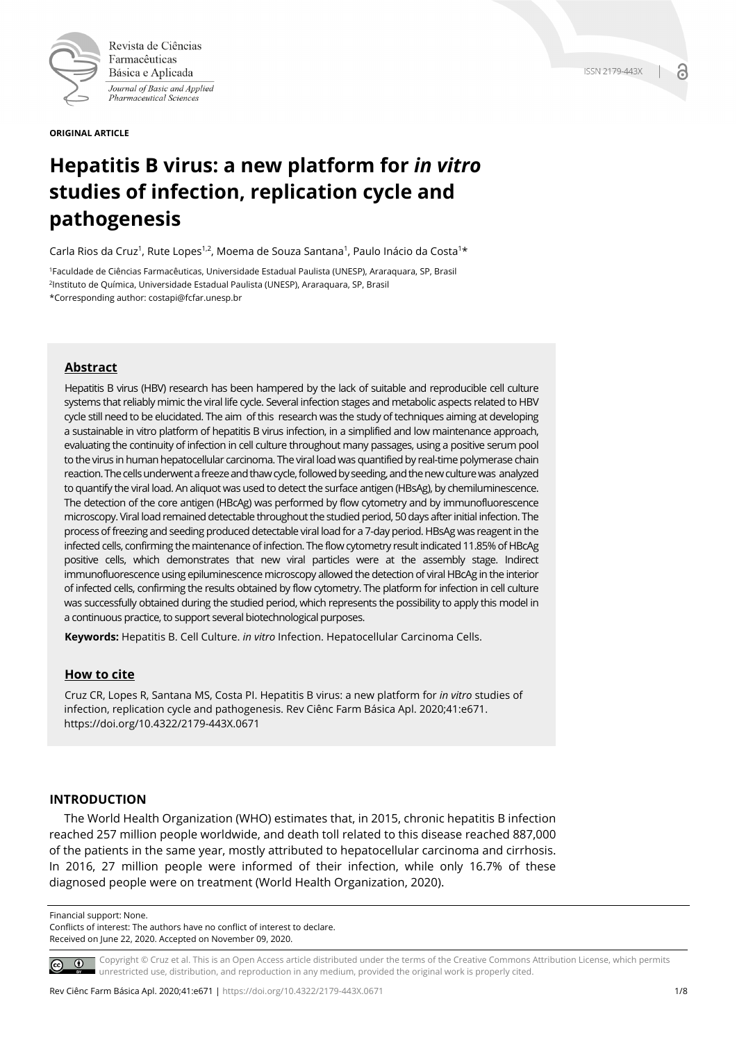

Revista de Ciências Farmacêuticas Básica e Aplicada Journal of Basic and Applied Pharmaceutical Sciences

**ORIGINAL ARTICLE**

# **Hepatitis B virus: a new platform for** *in vitro* **studies of infection, replication cycle and pathogenesis**

Carla Rios da Cruz<sup>1</sup>, Rute Lopes<sup>1,2</sup>, Moema de Souza Santana<sup>1</sup>, Paulo Inácio da Costa<sup>1\*</sup>

1Faculdade de Ciências Farmacêuticas, Universidade Estadual Paulista (UNESP), Araraquara, SP, Brasil 2Instituto de Química, Universidade Estadual Paulista (UNESP), Araraquara, SP, Brasil \*Corresponding author: costapi@fcfar.unesp.br

# **Abstract**

Hepatitis B virus (HBV) research has been hampered by the lack of suitable and reproducible cell culture systems that reliably mimic the viral life cycle. Several infection stages and metabolic aspects related to HBV cycle still need to be elucidated. The aim of this research was the study of techniques aiming at developing a sustainable in vitro platform of hepatitis B virus infection, in a simplified and low maintenance approach, evaluating the continuity of infection in cell culture throughout many passages, using a positive serum pool to the virus in human hepatocellular carcinoma. The viral load was quantified by real-time polymerase chain reaction. The cells underwent a freeze and thaw cycle, followed by seeding, and the new culture was analyzed to quantify the viral load. An aliquot was used to detect the surface antigen (HBsAg), by chemiluminescence. The detection of the core antigen (HBcAg) was performed by flow cytometry and by immunofluorescence microscopy. Viral load remained detectable throughout the studied period, 50 days after initial infection. The process of freezing and seeding produced detectable viral load for a 7-day period. HBsAg was reagent in the infected cells, confirming the maintenance of infection. The flow cytometry result indicated 11.85% of HBcAg positive cells, which demonstrates that new viral particles were at the assembly stage. Indirect immunofluorescence using epiluminescence microscopy allowed the detection of viral HBcAg in the interior of infected cells, confirming the results obtained by flow cytometry. The platform for infection in cell culture was successfully obtained during the studied period, which represents the possibility to apply this model in a continuous practice, to support several biotechnological purposes.

**Keywords:** Hepatitis B. Cell Culture. *in vitro* Infection. Hepatocellular Carcinoma Cells.

# **How to cite**

Cruz CR, Lopes R, Santana MS, Costa PI. Hepatitis B virus: a new platform for *in vitro* studies of infection, replication cycle and pathogenesis. Rev Ciênc Farm Básica Apl. 2020;41:e671. https://doi.org/10.4322/2179-443X.0671

## **INTRODUCTION**

The World Health Organization (WHO) estimates that, in 2015, chronic hepatitis B infection reached 257 million people worldwide, and death toll related to this disease reached 887,000 of the patients in the same year, mostly attributed to hepatocellular carcinoma and cirrhosis. In 2016, 27 million people were informed of their infection, while only 16.7% of these diagnosed people were on treatment (World Health Organization, 2020).

Financial support: None.

Conflicts of interest: The authors have no conflict of interest to declare. Received on June 22, 2020. Accepted on November 09, 2020.

Copyright © Cruz et al. This is an Open Access article distributed under the terms of the Creative Commons Attribution License, which permits  $\circ$   $\circ$ unrestricted use, distribution, and reproduction in any medium, provided the original work is properly cited.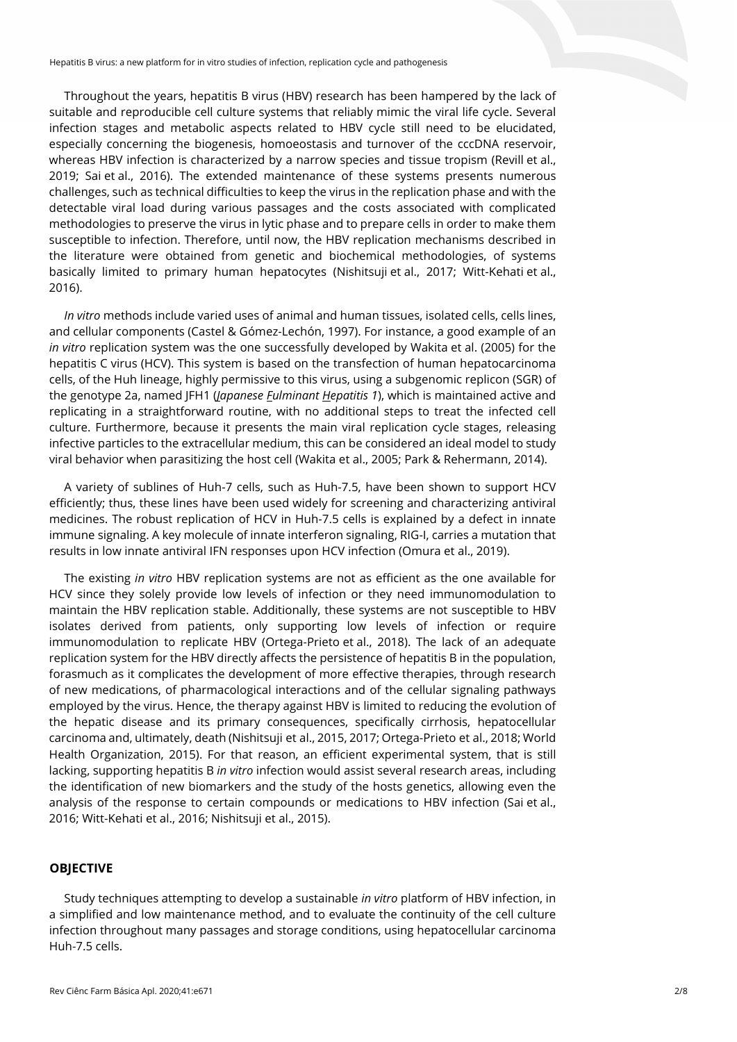Throughout the years, hepatitis B virus (HBV) research has been hampered by the lack of suitable and reproducible cell culture systems that reliably mimic the viral life cycle. Several infection stages and metabolic aspects related to HBV cycle still need to be elucidated, especially concerning the biogenesis, homoeostasis and turnover of the cccDNA reservoir, whereas HBV infection is characterized by a narrow species and tissue tropism (Revill et al., 2019; Sai et al., 2016). The extended maintenance of these systems presents numerous challenges, such as technical difficulties to keep the virus in the replication phase and with the detectable viral load during various passages and the costs associated with complicated methodologies to preserve the virus in lytic phase and to prepare cells in order to make them susceptible to infection. Therefore, until now, the HBV replication mechanisms described in the literature were obtained from genetic and biochemical methodologies, of systems basically limited to primary human hepatocytes (Nishitsuji et al., 2017; Witt-Kehati et al., 2016).

*In vitro* methods include varied uses of animal and human tissues, isolated cells, cells lines, and cellular components (Castel & Gómez-Lechón, 1997). For instance, a good example of an *in vitro* replication system was the one successfully developed by Wakita et al. (2005) for the hepatitis C virus (HCV). This system is based on the transfection of human hepatocarcinoma cells, of the Huh lineage, highly permissive to this virus, using a subgenomic replicon (SGR) of the genotype 2a, named JFH1 (*Japanese Fulminant Hepatitis 1*), which is maintained active and replicating in a straightforward routine, with no additional steps to treat the infected cell culture. Furthermore, because it presents the main viral replication cycle stages, releasing infective particles to the extracellular medium, this can be considered an ideal model to study viral behavior when parasitizing the host cell (Wakita et al., 2005; Park & Rehermann, 2014).

A variety of sublines of Huh-7 cells, such as Huh-7.5, have been shown to support HCV efficiently; thus, these lines have been used widely for screening and characterizing antiviral medicines. The robust replication of HCV in Huh-7.5 cells is explained by a defect in innate immune signaling. A key molecule of innate interferon signaling, RIG-I, carries a mutation that results in low innate antiviral IFN responses upon HCV infection (Omura et al., 2019).

The existing *in vitro* HBV replication systems are not as efficient as the one available for HCV since they solely provide low levels of infection or they need immunomodulation to maintain the HBV replication stable. Additionally, these systems are not susceptible to HBV isolates derived from patients, only supporting low levels of infection or require immunomodulation to replicate HBV (Ortega-Prieto et al., 2018). The lack of an adequate replication system for the HBV directly affects the persistence of hepatitis B in the population, forasmuch as it complicates the development of more effective therapies, through research of new medications, of pharmacological interactions and of the cellular signaling pathways employed by the virus. Hence, the therapy against HBV is limited to reducing the evolution of the hepatic disease and its primary consequences, specifically cirrhosis, hepatocellular carcinoma and, ultimately, death (Nishitsuji et al., 2015, 2017; Ortega-Prieto et al., 2018; World Health Organization, 2015). For that reason, an efficient experimental system, that is still lacking, supporting hepatitis B *in vitro* infection would assist several research areas, including the identification of new biomarkers and the study of the hosts genetics, allowing even the analysis of the response to certain compounds or medications to HBV infection (Sai et al., 2016; Witt-Kehati et al., 2016; Nishitsuji et al., 2015).

## **OBJECTIVE**

Study techniques attempting to develop a sustainable *in vitro* platform of HBV infection, in a simplified and low maintenance method, and to evaluate the continuity of the cell culture infection throughout many passages and storage conditions, using hepatocellular carcinoma Huh-7.5 cells.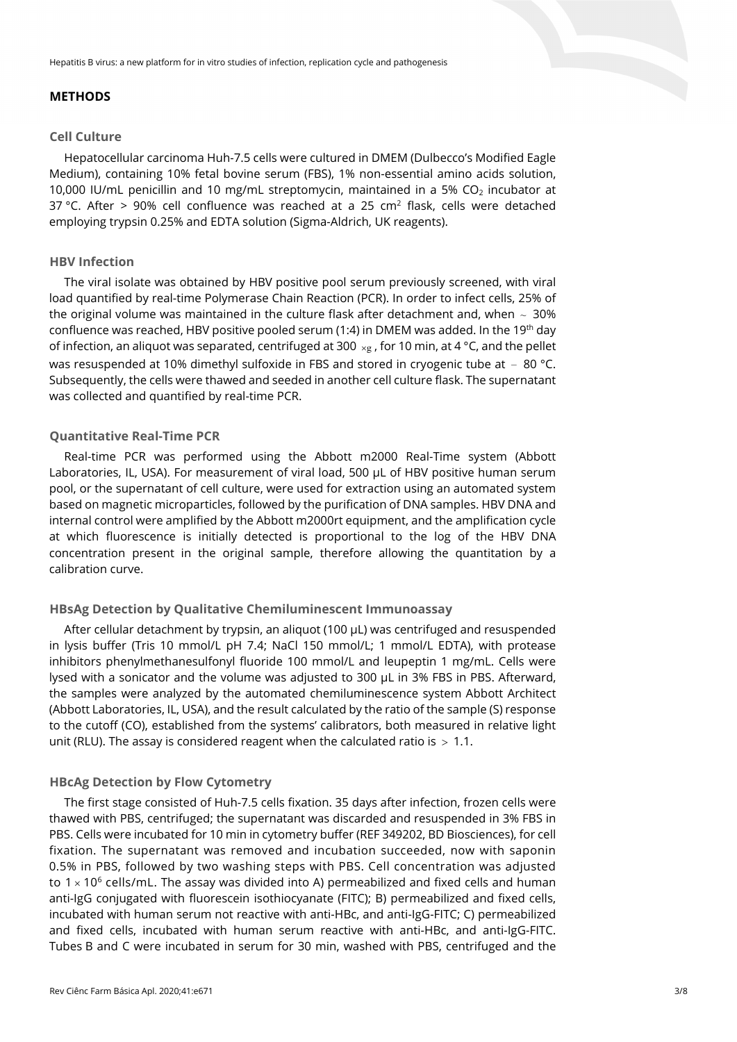## **METHODS**

#### **Cell Culture**

Hepatocellular carcinoma Huh-7.5 cells were cultured in DMEM (Dulbecco's Modified Eagle Medium), containing 10% fetal bovine serum (FBS), 1% non-essential amino acids solution, 10,000 IU/mL penicillin and 10 mg/mL streptomycin, maintained in a 5%  $CO<sub>2</sub>$  incubator at 37 °C. After > 90% cell confluence was reached at a 25 cm<sup>2</sup> flask, cells were detached employing trypsin 0.25% and EDTA solution (Sigma-Aldrich, UK reagents).

## **HBV Infection**

The viral isolate was obtained by HBV positive pool serum previously screened, with viral load quantified by real-time Polymerase Chain Reaction (PCR). In order to infect cells, 25% of the original volume was maintained in the culture flask after detachment and, when  $\sim 30\%$ confluence was reached, HBV positive pooled serum (1:4) in DMEM was added. In the 19<sup>th</sup> day of infection, an aliquot was separated, centrifuged at 300  $\times$ g, for 10 min, at 4 °C, and the pellet was resuspended at 10% dimethyl sulfoxide in FBS and stored in cryogenic tube at  $-80$  °C. Subsequently, the cells were thawed and seeded in another cell culture flask. The supernatant was collected and quantified by real-time PCR.

#### **Quantitative Real-Time PCR**

Real-time PCR was performed using the Abbott m2000 Real-Time system (Abbott Laboratories, IL, USA). For measurement of viral load, 500 µL of HBV positive human serum pool, or the supernatant of cell culture, were used for extraction using an automated system based on magnetic microparticles, followed by the purification of DNA samples. HBV DNA and internal control were amplified by the Abbott m2000rt equipment, and the amplification cycle at which fluorescence is initially detected is proportional to the log of the HBV DNA concentration present in the original sample, therefore allowing the quantitation by a calibration curve.

## **HBsAg Detection by Qualitative Chemiluminescent Immunoassay**

After cellular detachment by trypsin, an aliquot (100 µL) was centrifuged and resuspended in lysis buffer (Tris 10 mmol/L pH 7.4; NaCl 150 mmol/L; 1 mmol/L EDTA), with protease inhibitors phenylmethanesulfonyl fluoride 100 mmol/L and leupeptin 1 mg/mL. Cells were lysed with a sonicator and the volume was adjusted to 300 µL in 3% FBS in PBS. Afterward, the samples were analyzed by the automated chemiluminescence system Abbott Architect (Abbott Laboratories, IL, USA), and the result calculated by the ratio of the sample (S) response to the cutoff (CO), established from the systems' calibrators, both measured in relative light unit (RLU). The assay is considered reagent when the calculated ratio is  $> 1.1$ .

## **HBcAg Detection by Flow Cytometry**

The first stage consisted of Huh-7.5 cells fixation. 35 days after infection, frozen cells were thawed with PBS, centrifuged; the supernatant was discarded and resuspended in 3% FBS in PBS. Cells were incubated for 10 min in cytometry buffer (REF 349202, BD Biosciences), for cell fixation. The supernatant was removed and incubation succeeded, now with saponin 0.5% in PBS, followed by two washing steps with PBS. Cell concentration was adjusted to  $1 \times 10^6$  cells/mL. The assay was divided into A) permeabilized and fixed cells and human anti-IgG conjugated with fluorescein isothiocyanate (FITC); B) permeabilized and fixed cells, incubated with human serum not reactive with anti-HBc, and anti-IgG-FITC; C) permeabilized and fixed cells, incubated with human serum reactive with anti-HBc, and anti-IgG-FITC. Tubes B and C were incubated in serum for 30 min, washed with PBS, centrifuged and the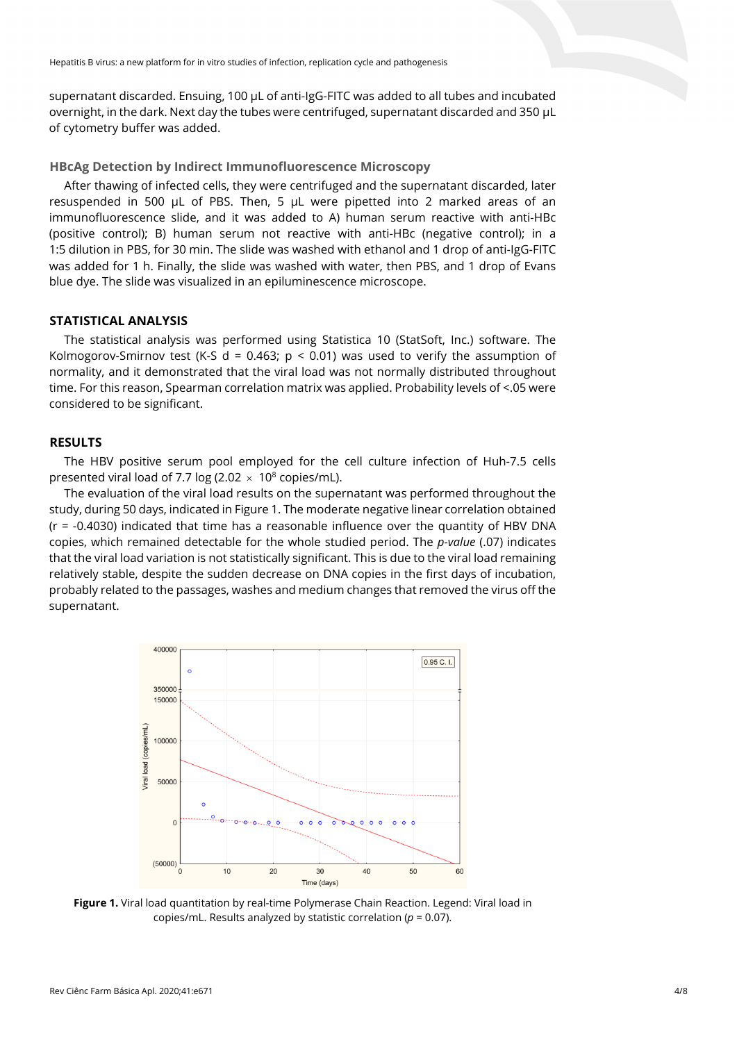supernatant discarded. Ensuing, 100 µL of anti-IgG-FITC was added to all tubes and incubated overnight, in the dark. Next day the tubes were centrifuged, supernatant discarded and 350 µL of cytometry buffer was added.

**HBcAg Detection by Indirect Immunofluorescence Microscopy**

After thawing of infected cells, they were centrifuged and the supernatant discarded, later resuspended in 500 µL of PBS. Then, 5 µL were pipetted into 2 marked areas of an immunofluorescence slide, and it was added to A) human serum reactive with anti-HBc (positive control); B) human serum not reactive with anti-HBc (negative control); in a 1:5 dilution in PBS, for 30 min. The slide was washed with ethanol and 1 drop of anti-IgG-FITC was added for 1 h. Finally, the slide was washed with water, then PBS, and 1 drop of Evans blue dye. The slide was visualized in an epiluminescence microscope.

# **STATISTICAL ANALYSIS**

The statistical analysis was performed using Statistica 10 (StatSoft, Inc.) software. The Kolmogorov-Smirnov test (K-S d = 0.463;  $p \le 0.01$ ) was used to verify the assumption of normality, and it demonstrated that the viral load was not normally distributed throughout time. For this reason, Spearman correlation matrix was applied. Probability levels of <.05 were considered to be significant.

# **RESULTS**

The HBV positive serum pool employed for the cell culture infection of Huh-7.5 cells presented viral load of 7.7 log (2.02  $\times$  10<sup>8</sup> copies/mL).

The evaluation of the viral load results on the supernatant was performed throughout the study, during 50 days, indicated in Figure 1. The moderate negative linear correlation obtained  $(r = -0.4030)$  indicated that time has a reasonable influence over the quantity of HBV DNA copies, which remained detectable for the whole studied period. The *p-value* (.07) indicates that the viral load variation is not statistically significant. This is due to the viral load remaining relatively stable, despite the sudden decrease on DNA copies in the first days of incubation, probably related to the passages, washes and medium changes that removed the virus off the supernatant.



**Figure 1.** Viral load quantitation by real-time Polymerase Chain Reaction. Legend: Viral load in copies/mL. Results analyzed by statistic correlation (*p* = 0.07).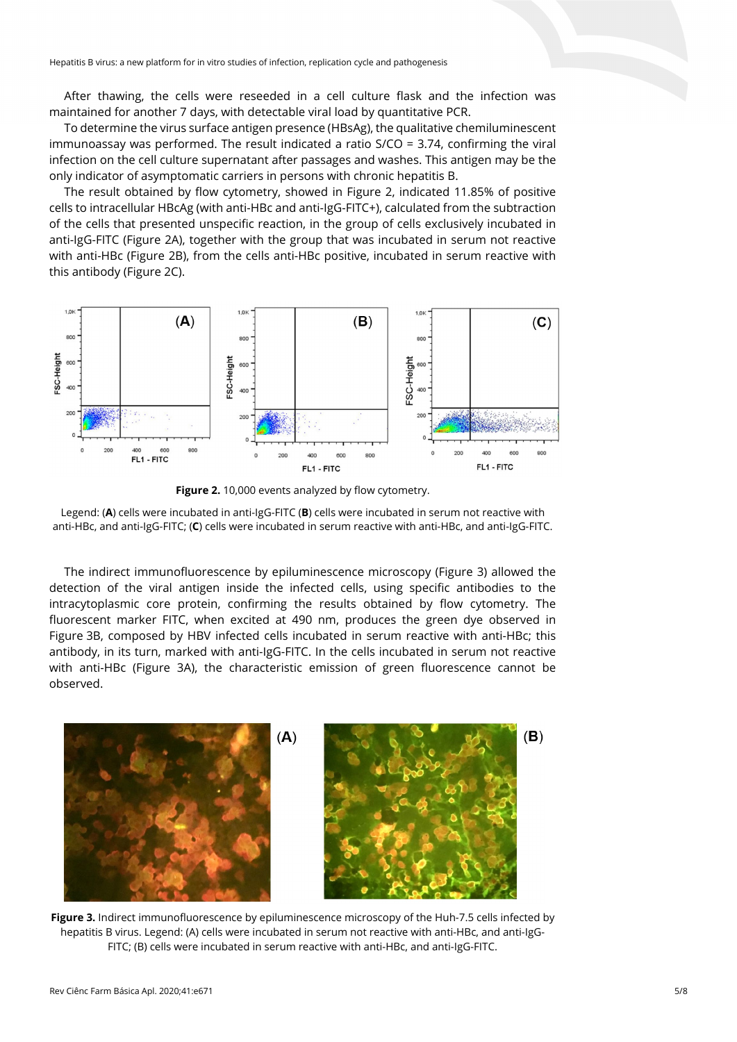After thawing, the cells were reseeded in a cell culture flask and the infection was maintained for another 7 days, with detectable viral load by quantitative PCR.

To determine the virus surface antigen presence (HBsAg), the qualitative chemiluminescent immunoassay was performed. The result indicated a ratio S/CO = 3.74, confirming the viral infection on the cell culture supernatant after passages and washes. This antigen may be the only indicator of asymptomatic carriers in persons with chronic hepatitis B.

The result obtained by flow cytometry, showed in Figure 2, indicated 11.85% of positive cells to intracellular HBcAg (with anti-HBc and anti-IgG-FITC+), calculated from the subtraction of the cells that presented unspecific reaction, in the group of cells exclusively incubated in anti-IgG-FITC (Figure 2A), together with the group that was incubated in serum not reactive with anti-HBc (Figure 2B), from the cells anti-HBc positive, incubated in serum reactive with this antibody (Figure 2C).



Figure 2. 10,000 events analyzed by flow cytometry.

Legend: (**A**) cells were incubated in anti-IgG-FITC (**B**) cells were incubated in serum not reactive with anti-HBc, and anti-IgG-FITC; (**C**) cells were incubated in serum reactive with anti-HBc, and anti-IgG-FITC.

The indirect immunofluorescence by epiluminescence microscopy (Figure 3) allowed the detection of the viral antigen inside the infected cells, using specific antibodies to the intracytoplasmic core protein, confirming the results obtained by flow cytometry. The fluorescent marker FITC, when excited at 490 nm, produces the green dye observed in Figure 3B, composed by HBV infected cells incubated in serum reactive with anti-HBc; this antibody, in its turn, marked with anti-IgG-FITC. In the cells incubated in serum not reactive with anti-HBc (Figure 3A), the characteristic emission of green fluorescence cannot be observed.



**Figure 3.** Indirect immunofluorescence by epiluminescence microscopy of the Huh-7.5 cells infected by hepatitis B virus. Legend: (A) cells were incubated in serum not reactive with anti-HBc, and anti-IgG-FITC; (B) cells were incubated in serum reactive with anti-HBc, and anti-IgG-FITC.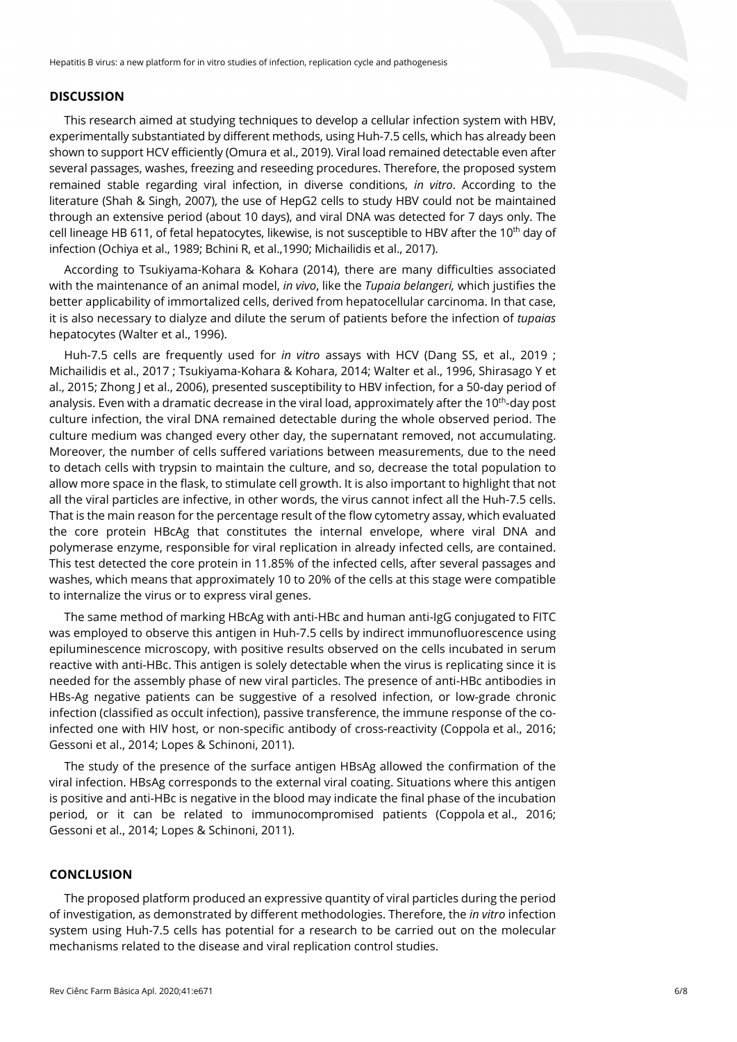### **DISCUSSION**

This research aimed at studying techniques to develop a cellular infection system with HBV, experimentally substantiated by different methods, using Huh-7.5 cells, which has already been shown to support HCV efficiently (Omura et al., 2019). Viral load remained detectable even after several passages, washes, freezing and reseeding procedures. Therefore, the proposed system remained stable regarding viral infection, in diverse conditions, *in vitro*. According to the literature (Shah & Singh, 2007), the use of HepG2 cells to study HBV could not be maintained through an extensive period (about 10 days), and viral DNA was detected for 7 days only. The cell lineage HB 611, of fetal hepatocytes, likewise, is not susceptible to HBV after the 10<sup>th</sup> day of infection (Ochiya et al., 1989; Bchini R, et al.,1990; Michailidis et al., 2017).

According to Tsukiyama-Kohara & Kohara (2014), there are many difficulties associated with the maintenance of an animal model, *in vivo*, like the *Tupaia belangeri,* which justifies the better applicability of immortalized cells, derived from hepatocellular carcinoma. In that case, it is also necessary to dialyze and dilute the serum of patients before the infection of *tupaias* hepatocytes (Walter et al., 1996).

Huh-7.5 cells are frequently used for *in vitro* assays with HCV (Dang SS, et al., 2019 ; Michailidis et al., 2017 ; Tsukiyama-Kohara & Kohara, 2014; Walter et al., 1996, Shirasago Y et al., 2015; Zhong J et al., 2006), presented susceptibility to HBV infection, for a 50-day period of analysis. Even with a dramatic decrease in the viral load, approximately after the 10<sup>th</sup>-day post culture infection, the viral DNA remained detectable during the whole observed period. The culture medium was changed every other day, the supernatant removed, not accumulating. Moreover, the number of cells suffered variations between measurements, due to the need to detach cells with trypsin to maintain the culture, and so, decrease the total population to allow more space in the flask, to stimulate cell growth. It is also important to highlight that not all the viral particles are infective, in other words, the virus cannot infect all the Huh-7.5 cells. That is the main reason for the percentage result of the flow cytometry assay, which evaluated the core protein HBcAg that constitutes the internal envelope, where viral DNA and polymerase enzyme, responsible for viral replication in already infected cells, are contained. This test detected the core protein in 11.85% of the infected cells, after several passages and washes, which means that approximately 10 to 20% of the cells at this stage were compatible to internalize the virus or to express viral genes.

The same method of marking HBcAg with anti-HBc and human anti-IgG conjugated to FITC was employed to observe this antigen in Huh-7.5 cells by indirect immunofluorescence using epiluminescence microscopy, with positive results observed on the cells incubated in serum reactive with anti-HBc. This antigen is solely detectable when the virus is replicating since it is needed for the assembly phase of new viral particles. The presence of anti-HBc antibodies in HBs-Ag negative patients can be suggestive of a resolved infection, or low-grade chronic infection (classified as occult infection), passive transference, the immune response of the coinfected one with HIV host, or non-specific antibody of cross-reactivity (Coppola et al., 2016; Gessoni et al., 2014; Lopes & Schinoni, 2011).

The study of the presence of the surface antigen HBsAg allowed the confirmation of the viral infection. HBsAg corresponds to the external viral coating. Situations where this antigen is positive and anti-HBc is negative in the blood may indicate the final phase of the incubation period, or it can be related to immunocompromised patients (Coppola et al., 2016; Gessoni et al., 2014; Lopes & Schinoni, 2011).

## **CONCLUSION**

The proposed platform produced an expressive quantity of viral particles during the period of investigation, as demonstrated by different methodologies. Therefore, the *in vitro* infection system using Huh-7.5 cells has potential for a research to be carried out on the molecular mechanisms related to the disease and viral replication control studies.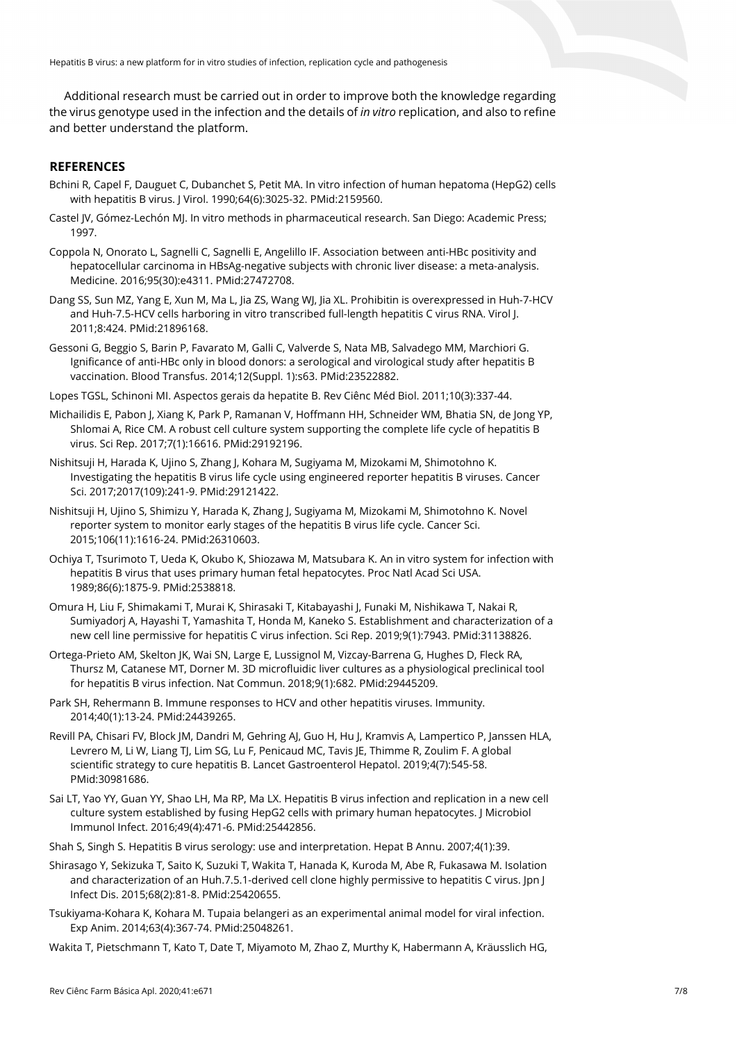Hepatitis B virus: a new platform for in vitro studies of infection, replication cycle and pathogenesis

Additional research must be carried out in order to improve both the knowledge regarding the virus genotype used in the infection and the details of *in vitro* replication, and also to refine and better understand the platform.

# **REFERENCES**

- Bchini R, Capel F, Dauguet C, Dubanchet S, Petit MA. In vitro infection of human hepatoma (HepG2) cells with hepatitis B virus. J Virol. 1990;64(6):3025-32. [PMid:2159560.](https://www.ncbi.nlm.nih.gov/entrez/query.fcgi?cmd=Retrieve&db=PubMed&list_uids=2159560&dopt=Abstract)
- Castel JV, Gómez-Lechón MJ. In vitro methods in pharmaceutical research. San Diego: Academic Press; 1997.
- Coppola N, Onorato L, Sagnelli C, Sagnelli E, Angelillo IF. Association between anti-HBc positivity and hepatocellular carcinoma in HBsAg-negative subjects with chronic liver disease: a meta-analysis. Medicine. 2016;95(30):e4311. [PMid:27472708.](https://www.ncbi.nlm.nih.gov/entrez/query.fcgi?cmd=Retrieve&db=PubMed&list_uids=27472708&dopt=Abstract)
- Dang SS, Sun MZ, Yang E, Xun M, Ma L, Jia ZS, Wang WJ, Jia XL. Prohibitin is overexpressed in Huh-7-HCV and Huh-7.5-HCV cells harboring in vitro transcribed full-length hepatitis C virus RNA. Virol J. 2011;8:424. [PMid:21896168.](https://www.ncbi.nlm.nih.gov/entrez/query.fcgi?cmd=Retrieve&db=PubMed&list_uids=21896168&dopt=Abstract)
- Gessoni G, Beggio S, Barin P, Favarato M, Galli C, Valverde S, Nata MB, Salvadego MM, Marchiori G. Ignificance of anti-HBc only in blood donors: a serological and virological study after hepatitis B vaccination. Blood Transfus. 2014;12(Suppl. 1):s63. [PMid:23522882.](https://www.ncbi.nlm.nih.gov/entrez/query.fcgi?cmd=Retrieve&db=PubMed&list_uids=23522882&dopt=Abstract)
- Lopes TGSL, Schinoni MI. Aspectos gerais da hepatite B. Rev Ciênc Méd Biol. 2011;10(3):337-44.
- Michailidis E, Pabon J, Xiang K, Park P, Ramanan V, Hoffmann HH, Schneider WM, Bhatia SN, de Jong YP, Shlomai A, Rice CM. A robust cell culture system supporting the complete life cycle of hepatitis B virus. Sci Rep. 2017;7(1):16616. [PMid:29192196.](https://www.ncbi.nlm.nih.gov/entrez/query.fcgi?cmd=Retrieve&db=PubMed&list_uids=29192196&dopt=Abstract)
- Nishitsuji H, Harada K, Ujino S, Zhang J, Kohara M, Sugiyama M, Mizokami M, Shimotohno K. Investigating the hepatitis B virus life cycle using engineered reporter hepatitis B viruses. Cancer Sci. 2017;2017(109):241-9. [PMid:29121422.](https://www.ncbi.nlm.nih.gov/entrez/query.fcgi?cmd=Retrieve&db=PubMed&list_uids=29121422&dopt=Abstract)
- Nishitsuji H, Ujino S, Shimizu Y, Harada K, Zhang J, Sugiyama M, Mizokami M, Shimotohno K. Novel reporter system to monitor early stages of the hepatitis B virus life cycle. Cancer Sci. 2015;106(11):1616-24. [PMid:26310603.](https://www.ncbi.nlm.nih.gov/entrez/query.fcgi?cmd=Retrieve&db=PubMed&list_uids=26310603&dopt=Abstract)
- Ochiya T, Tsurimoto T, Ueda K, Okubo K, Shiozawa M, Matsubara K. An in vitro system for infection with hepatitis B virus that uses primary human fetal hepatocytes. Proc Natl Acad Sci USA. 1989;86(6):1875-9. [PMid:2538818.](https://www.ncbi.nlm.nih.gov/entrez/query.fcgi?cmd=Retrieve&db=PubMed&list_uids=2538818&dopt=Abstract)
- Omura H, Liu F, Shimakami T, Murai K, Shirasaki T, Kitabayashi J, Funaki M, Nishikawa T, Nakai R, Sumiyadorj A, Hayashi T, Yamashita T, Honda M, Kaneko S. Establishment and characterization of a new cell line permissive for hepatitis C virus infection. Sci Rep. 2019;9(1):7943. [PMid:31138826.](https://www.ncbi.nlm.nih.gov/entrez/query.fcgi?cmd=Retrieve&db=PubMed&list_uids=31138826&dopt=Abstract)
- Ortega-Prieto AM, Skelton JK, Wai SN, Large E, Lussignol M, Vizcay-Barrena G, Hughes D, Fleck RA, Thursz M, Catanese MT, Dorner M. 3D microfluidic liver cultures as a physiological preclinical tool for hepatitis B virus infection. Nat Commun. 2018;9(1):682. [PMid:29445209.](https://www.ncbi.nlm.nih.gov/entrez/query.fcgi?cmd=Retrieve&db=PubMed&list_uids=29445209&dopt=Abstract)
- Park SH, Rehermann B. Immune responses to HCV and other hepatitis viruses. Immunity. 2014;40(1):13-24. [PMid:24439265.](https://www.ncbi.nlm.nih.gov/entrez/query.fcgi?cmd=Retrieve&db=PubMed&list_uids=24439265&dopt=Abstract)
- Revill PA, Chisari FV, Block JM, Dandri M, Gehring AJ, Guo H, Hu J, Kramvis A, Lampertico P, Janssen HLA, Levrero M, Li W, Liang TJ, Lim SG, Lu F, Penicaud MC, Tavis JE, Thimme R, Zoulim F. A global scientific strategy to cure hepatitis B. Lancet Gastroenterol Hepatol. 2019;4(7):545-5[8.](https://www.ncbi.nlm.nih.gov/entrez/query.fcgi?cmd=Retrieve&db=PubMed&list_uids=30981686&dopt=Abstract) [PMid:30981686.](https://www.ncbi.nlm.nih.gov/entrez/query.fcgi?cmd=Retrieve&db=PubMed&list_uids=30981686&dopt=Abstract)
- Sai LT, Yao YY, Guan YY, Shao LH, Ma RP, Ma LX. Hepatitis B virus infection and replication in a new cell culture system established by fusing HepG2 cells with primary human hepatocytes. J Microbiol Immunol Infect. 2016;49(4):471-6. [PMid:25442856.](https://www.ncbi.nlm.nih.gov/entrez/query.fcgi?cmd=Retrieve&db=PubMed&list_uids=25442856&dopt=Abstract)
- Shah S, Singh S. Hepatitis B virus serology: use and interpretation. Hepat B Annu. 2007;4(1):39.
- Shirasago Y, Sekizuka T, Saito K, Suzuki T, Wakita T, Hanada K, Kuroda M, Abe R, Fukasawa M. Isolation and characterization of an Huh.7.5.1-derived cell clone highly permissive to hepatitis C virus. Jpn J Infect Dis. 2015;68(2):81-8. [PMid:25420655.](https://www.ncbi.nlm.nih.gov/entrez/query.fcgi?cmd=Retrieve&db=PubMed&list_uids=25420655&dopt=Abstract)
- Tsukiyama-Kohara K, Kohara M. Tupaia belangeri as an experimental animal model for viral infection. Exp Anim. 2014;63(4):367-74. [PMid:25048261.](https://www.ncbi.nlm.nih.gov/entrez/query.fcgi?cmd=Retrieve&db=PubMed&list_uids=25048261&dopt=Abstract)
- Wakita T, Pietschmann T, Kato T, Date T, Miyamoto M, Zhao Z, Murthy K, Habermann A, Kräusslich HG,